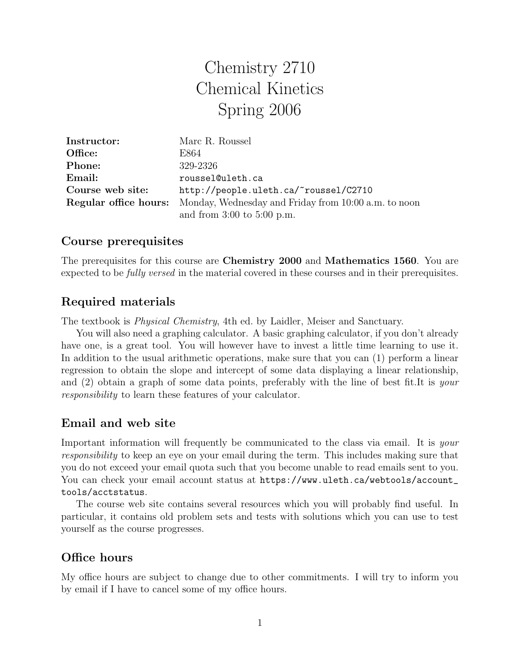# Chemistry 2710 Chemical Kinetics Spring 2006

| Instructor:      | Marc R. Roussel                                                                   |
|------------------|-----------------------------------------------------------------------------------|
| Office:          | E864                                                                              |
| Phone:           | 329-2326                                                                          |
| Email:           | roussel@uleth.ca                                                                  |
| Course web site: | http://people.uleth.ca/~roussel/C2710                                             |
|                  | <b>Regular office hours:</b> Monday, Wednesday and Friday from 10:00 a.m. to noon |
|                  | and from $3:00$ to $5:00$ p.m.                                                    |

### Course prerequisites

The prerequisites for this course are Chemistry 2000 and Mathematics 1560. You are expected to be fully versed in the material covered in these courses and in their prerequisites.

## Required materials

The textbook is Physical Chemistry, 4th ed. by Laidler, Meiser and Sanctuary.

You will also need a graphing calculator. A basic graphing calculator, if you don't already have one, is a great tool. You will however have to invest a little time learning to use it. In addition to the usual arithmetic operations, make sure that you can (1) perform a linear regression to obtain the slope and intercept of some data displaying a linear relationship, and (2) obtain a graph of some data points, preferably with the line of best fit.It is your responsibility to learn these features of your calculator.

## Email and web site

Important information will frequently be communicated to the class via email. It is your responsibility to keep an eye on your email during the term. This includes making sure that you do not exceed your email quota such that you become unable to read emails sent to you. You can check your email account status at https://www.uleth.ca/webtools/account\_ tools/acctstatus.

The course web site contains several resources which you will probably find useful. In particular, it contains old problem sets and tests with solutions which you can use to test yourself as the course progresses.

## Office hours

My office hours are subject to change due to other commitments. I will try to inform you by email if I have to cancel some of my office hours.